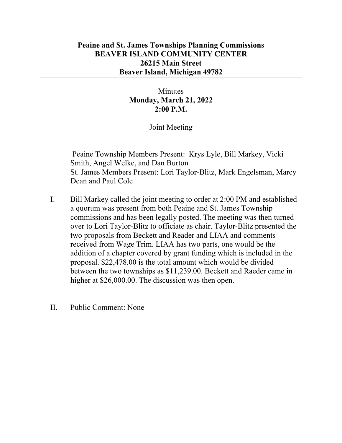## **Peaine and St. James Townships Planning Commissions BEAVER ISLAND COMMUNITY CENTER 26215 Main Street Beaver Island, Michigan 49782**

## **Minutes Monday, March 21, 2022 2:00 P.M.**

## Joint Meeting

Peaine Township Members Present: Krys Lyle, Bill Markey, Vicki Smith, Angel Welke, and Dan Burton St. James Members Present: Lori Taylor-Blitz, Mark Engelsman, Marcy Dean and Paul Cole

- I. Bill Markey called the joint meeting to order at 2:00 PM and established a quorum was present from both Peaine and St. James Township commissions and has been legally posted. The meeting was then turned over to Lori Taylor-Blitz to officiate as chair. Taylor-Blitz presented the two proposals from Beckett and Reader and LIAA and comments received from Wage Trim. LIAA has two parts, one would be the addition of a chapter covered by grant funding which is included in the proposal. \$22,478.00 is the total amount which would be divided between the two townships as \$11,239.00. Beckett and Raeder came in higher at \$26,000.00. The discussion was then open.
- II. Public Comment: None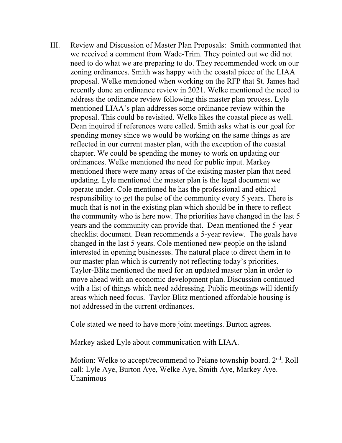III. Review and Discussion of Master Plan Proposals: Smith commented that we received a comment from Wade-Trim. They pointed out we did not need to do what we are preparing to do. They recommended work on our zoning ordinances. Smith was happy with the coastal piece of the LIAA proposal. Welke mentioned when working on the RFP that St. James had recently done an ordinance review in 2021. Welke mentioned the need to address the ordinance review following this master plan process. Lyle mentioned LIAA's plan addresses some ordinance review within the proposal. This could be revisited. Welke likes the coastal piece as well. Dean inquired if references were called. Smith asks what is our goal for spending money since we would be working on the same things as are reflected in our current master plan, with the exception of the coastal chapter. We could be spending the money to work on updating our ordinances. Welke mentioned the need for public input. Markey mentioned there were many areas of the existing master plan that need updating. Lyle mentioned the master plan is the legal document we operate under. Cole mentioned he has the professional and ethical responsibility to get the pulse of the community every 5 years. There is much that is not in the existing plan which should be in there to reflect the community who is here now. The priorities have changed in the last 5 years and the community can provide that. Dean mentioned the 5-year checklist document. Dean recommends a 5-year review. The goals have changed in the last 5 years. Cole mentioned new people on the island interested in opening businesses. The natural place to direct them in to our master plan which is currently not reflecting today's priorities. Taylor-Blitz mentioned the need for an updated master plan in order to move ahead with an economic development plan. Discussion continued with a list of things which need addressing. Public meetings will identify areas which need focus. Taylor-Blitz mentioned affordable housing is not addressed in the current ordinances.

Cole stated we need to have more joint meetings. Burton agrees.

Markey asked Lyle about communication with LIAA.

Motion: Welke to accept/recommend to Peiane township board. 2<sup>nd</sup>. Roll call: Lyle Aye, Burton Aye, Welke Aye, Smith Aye, Markey Aye. Unanimous